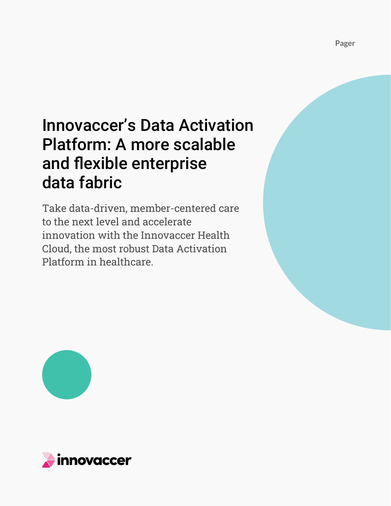# Innovaccer's Data Activation Platform: A more scalable and flexible enterprise data fabric

Take data-driven, member-centered care to the next level and accelerate innovation with the Innovaccer Health Cloud, the most robust Data Activation Platform in healthcare.



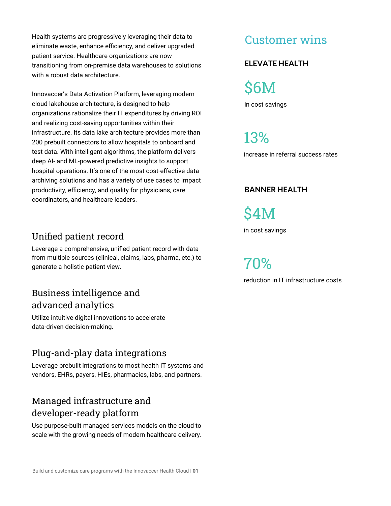Health systems are progressively leveraging their data to eliminate waste, enhance efficiency, and deliver upgraded patient service. Healthcare organizations are now transitioning from on-premise data warehouses to solutions with a robust data architecture.

Innovaccer's Data Activation Platform, leveraging modern cloud lakehouse architecture, is designed to help organizations rationalize their IT expenditures by driving ROI and realizing cost-saving opportunities within their infrastructure. Its data lake architecture provides more than 200 prebuilt connectors to allow hospitals to onboard and test data. With intelligent algorithms, the platform delivers deep AI- and ML-powered predictive insights to support hospital operations. It's one of the most cost-effective data archiving solutions and has a variety of use cases to impact productivity, efficiency, and quality for physicians, care coordinators, and healthcare leaders.

### Unified patient record

Leverage a comprehensive, unified patient record with data from multiple sources (clinical, claims, labs, pharma, etc.) to generate a holistic patient view.

### Business intelligence and advanced analytics

Utilize intuitive digital innovations to accelerate data-driven decision-making.

### Plug-and-play data integrations

Leverage prebuilt integrations to most health IT systems and vendors, EHRs, payers, HIEs, pharmacies, labs, and partners.

### Managed infrastructure and developer-ready platform

Use purpose-built managed services models on the cloud to scale with the growing needs of modern healthcare delivery.

# Customer wins

#### **ELEVATE HEALTH**

in cost savings \$6M

increase in referral success rates 13%

#### **BANNER HEALTH**

\$4M

in cost savings

reduction in IT infrastructure costs 70%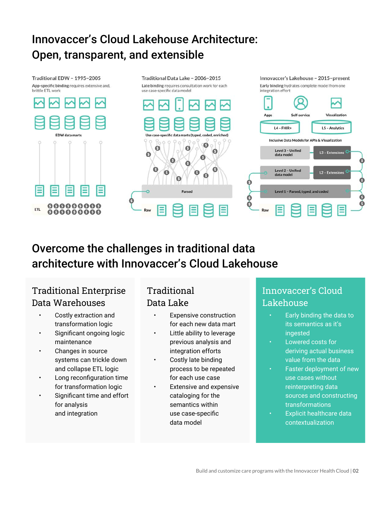# Innovaccer's Cloud Lakehouse Architecture: Open, transparent, and extensible

Traditional EDW - 1995-2005 App-specific binding requires extensive and, brittle FTI work





Traditional Data Lake - 2006-2015



# Overcome the challenges in traditional data architecture with Innovaccer's Cloud Lakehouse

# Traditional Enterprise Data Warehouses

- Costly extraction and transformation logic
- Significant ongoing logic maintenance
- Changes in source systems can trickle down and collapse ETL logic
- Long reconfiguration time for transformation logic
- Significant time and effort for analysis and integration

## Traditional Data Lake

- Expensive construction for each new data mart
- Little ability to leverage previous analysis and integration efforts
- Costly late binding process to be repeated for each use case
- Extensive and expensive cataloging for the semantics within use case-specific data model

### Innovaccer's Cloud Lakehouse

- Early binding the data to its semantics as it's ingested
- Lowered costs for deriving actual business value from the data
- Faster deployment of new use cases without reinterpreting data sources and constructing transformations
- **Explicit healthcare data** contextualization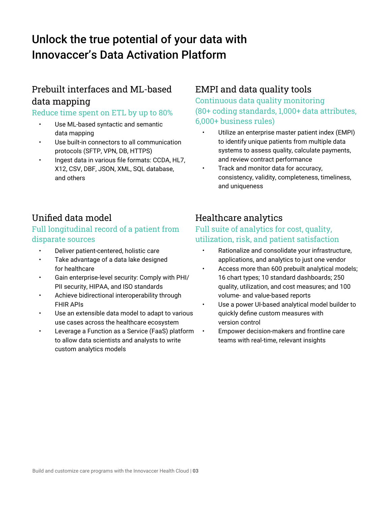# Unlock the true potential of your data with Innovaccer's Data Activation Platform

### Prebuilt interfaces and ML-based data mapping

#### Reduce time spent on ETL by up to 80%

- Use ML-based syntactic and semantic data mapping
- Use built-in connectors to all communication protocols (SFTP, VPN, DB, HTTPS)
- Ingest data in various file formats: CCDA, HL7, X12, CSV, DBF, JSON, XML, SQL database, and others

### EMPI and data quality tools

Continuous data quality monitoring (80+ coding standards, 1,000+ data attributes, 6,000+ business rules)

- Utilize an enterprise master patient index (EMPI) to identify unique patients from multiple data systems to assess quality, calculate payments, and review contract performance
- Track and monitor data for accuracy, consistency, validity, completeness, timeliness, and uniqueness

### Unified data model

### Full longitudinal record of a patient from disparate sources

- Deliver patient-centered, holistic care
- Take advantage of a data lake designed for healthcare
- Gain enterprise-level security: Comply with PHI/ PII security, HIPAA, and ISO standards
- Achieve bidirectional interoperability through FHIR APIs
- Use an extensible data model to adapt to various use cases across the healthcare ecosystem
- Leverage a Function as a Service (FaaS) platform to allow data scientists and analysts to write custom analytics models

### Healthcare analytics

#### Full suite of analytics for cost, quality, utilization, risk, and patient satisfaction

- Rationalize and consolidate your infrastructure, applications, and analytics to just one vendor
- Access more than 600 prebuilt analytical models; 16 chart types; 10 standard dashboards; 250 quality, utilization, and cost measures; and 100 volume- and value-based reports
- Use a power UI-based analytical model builder to quickly define custom measures with version control
- Empower decision-makers and frontline care teams with real-time, relevant insights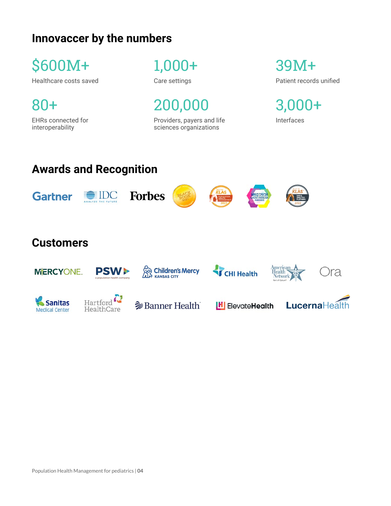# **Innovaccer by the numbers**

\$600M+

Healthcare costs saved

80+ EHRs connected for

interoperability

1,000+

Care settings

200,000

Providers, payers and life sciences organizations

39M+ Patient records unified

3,000+

Interfaces

# **Awards and Recognition**











# **Customers**

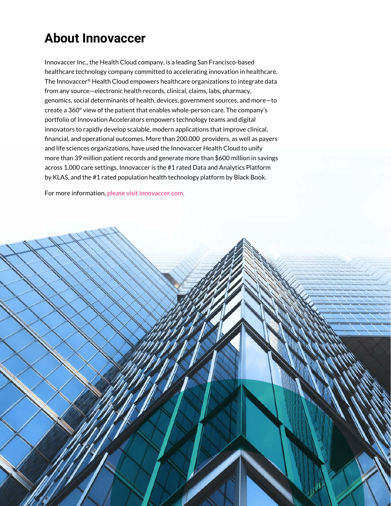# **About Innovaccer**

Innovaccer Inc., the Health Cloud company, is a leading San Francisco-based healthcare technology company committed to accelerating innovation in healthcare. The Innovaccer® Health Cloud empowers healthcare organizations to integrate data from any source—electronic health records, clinical, claims, labs, pharmacy, genomics, social determinants of health, devices, government sources, and more—to create a 360° view of the patient that enables whole-person care. The company's portfolio of Innovation Accelerators empowers technology teams and digital innovators to rapidly develop scalable, modern applications that improve clinical, financial, and operational outcomes. More than 200,000 providers, as well as payers and life sciences organizations, have used the Innovaccer Health Cloud to unify more than 39 million patient records and generate more than \$600 million in savings across 1,000 care settings. Innovaccer is the #1 rated Data and Analytics Platform by KLAS, and the #1 rated population health technology platform by Black Book.

For more information, please visit innovaccer.com.